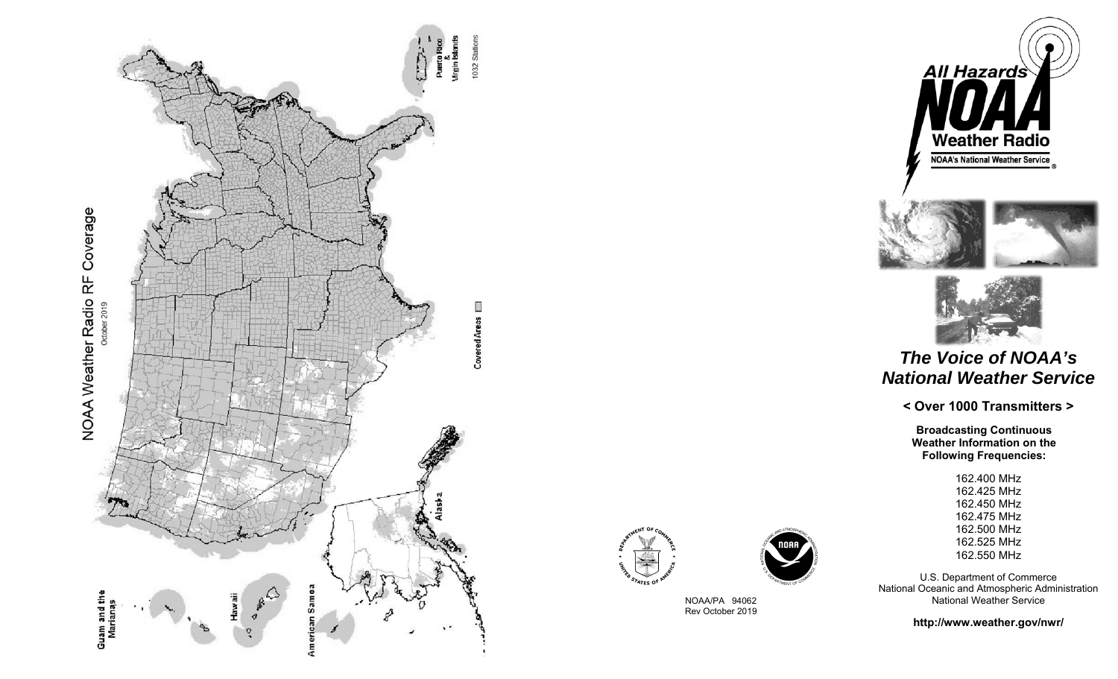





NOAA/PA 94062 Rev October 2019







## *The Voice of NOAA's National Weather Service*

**< Over 1000 Transmitters >** 

**Broadcasting Continuous Weather Information on the Following Frequencies:**

> 162.400 MHz 162.425 MHz 162.450 MHz 162.475 MHz 162.500 MHz 162.525 MHz 162.550 MHz

U.S. Department of Commerce National Oceanic and Atmospheric Administration National Weather Service

**http://www.weather.gov/nwr/**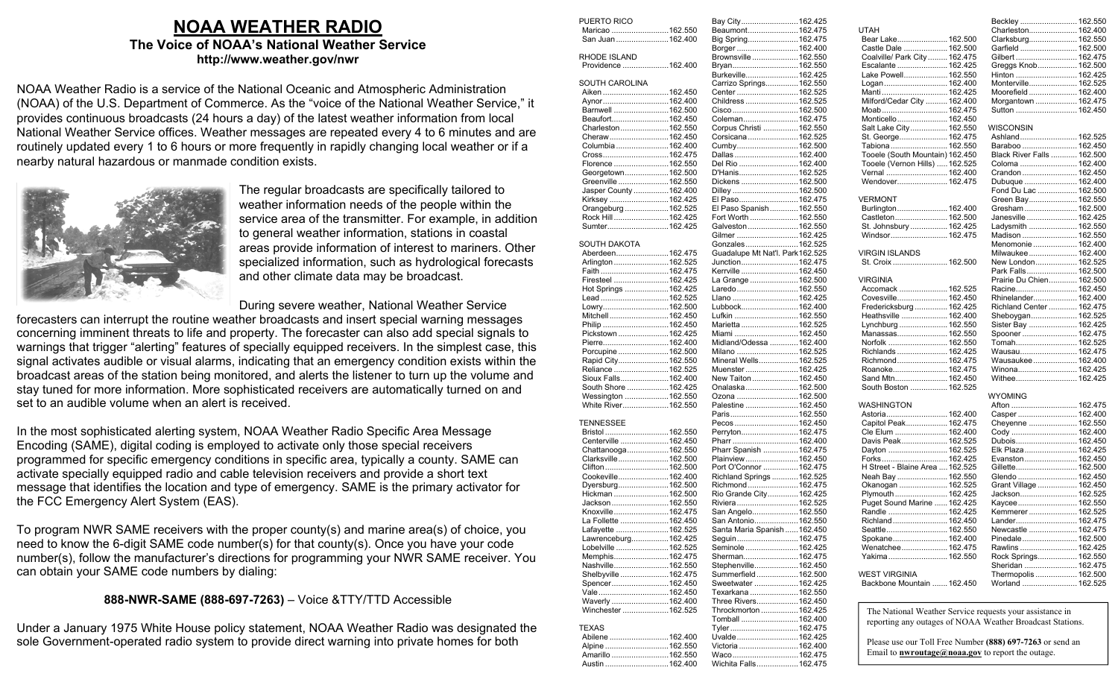## **NOAA WEATHER RADIO The Voice of NOAA's National Weather Service http://www.weather.gov/nwr**

NOAA Weather Radio is a service of the National Oceanic and Atmospheric Administration (NOAA) of the U.S. Department of Commerce. As the "voice of the National Weather Service," it provides continuous broadcasts (24 hours a day) of the latest weather information from local National Weather Service offices. Weather messages are repeated every 4 to 6 minutes and are routinely updated every 1 to 6 hours or more frequently in rapidly changing local weather or if a nearby natural hazardous or manmade condition exists.



The regular broadcasts are specifically tailored to weather information needs of the people within the service area of the transmitter. For example, in addition to general weather information, stations in coastal areas provide information of interest to mariners. Other specialized information, such as hydrological forecasts and other climate data may be broadcast.

During severe weather, National Weather Service

forecasters can interrupt the routine weather broadcasts and insert special warning messages concerning imminent threats to life and property. The forecaster can also add special signals to warnings that trigger "alerting" features of specially equipped receivers. In the simplest case, this signal activates audible or visual alarms, indicating that an emergency condition exists within the broadcast areas of the station being monitored, and alerts the listener to turn up the volume and stay tuned for more information. More sophisticated receivers are automatically turned on and set to an audible volume when an alert is received.

In the most sophisticated alerting system, NOAA Weather Radio Specific Area Message Encoding (SAME), digital coding is employed to activate only those special receivers programmed for specific emergency conditions in specific area, typically a county. SAME can activate specially equipped radio and cable television receivers and provide a short text message that identifies the location and type of emergency. SAME is the primary activator for the FCC Emergency Alert System (EAS).

To program NWR SAME receivers with the proper county(s) and marine area(s) of choice, you need to know the 6-digit SAME code number(s) for that county(s). Once you have your code number(s), follow the manufacturer's directions for programming your NWR SAME receiver. You can obtain your SAME code numbers by dialing:

## **888-NWR-SAME (888-697-7263)** – Voice &TTY/TTD Accessible

Under a January 1975 White House policy statement, NOAA Weather Radio was designated the sole Government-operated radio system to provide direct warning into private homes for both

| PUERTO RICO                        | Bay City162.425                     |  |
|------------------------------------|-------------------------------------|--|
| Maricao 162.550                    | Beaumont162.475                     |  |
| San Juan 162.400                   | Big Spring 162.475                  |  |
|                                    | Borger  162.400                     |  |
| RHODE ISLAND                       | Brownsville 162.550                 |  |
| Providence 162.400                 | Bryan 162.550                       |  |
|                                    | Burkeville 162.425                  |  |
| <b>SOUTH CAROLINA</b>              | Carrizo Springs 162.550             |  |
| Aiken 162.450                      | Center 162.525                      |  |
| Aynor162.400                       | Childress  162.525                  |  |
| Barnwell 162.500                   | Cisco 162.500                       |  |
| Beaufort162.450                    | Coleman162.475                      |  |
| Charleston162.550                  | Corpus Christi  162.550             |  |
| Cheraw162.450                      | Corsicana 162.525                   |  |
| Columbia162.400                    | Cumby 162.500                       |  |
| Cross162.475                       | Dallas  162.400                     |  |
| Florence 162.550                   | Del Rio 162.400                     |  |
| Georgetown162.500                  | D'Hanis162.525                      |  |
| Greenville  162.550                | Dickens  162.500                    |  |
| Jasper County 162.400              | Dilley  162.500                     |  |
| Kirksey 162.425                    | El Paso 162.475                     |  |
| Orangeburg  162.525                | El Paso Spanish 162.550             |  |
| Rock Hill162.425                   | Fort Worth  162.550                 |  |
| Sumter162.425                      | Galveston  162.550                  |  |
|                                    |                                     |  |
| <b>SOUTH DAKOTA</b>                | Gilmer  162.425                     |  |
|                                    | Gonzales 162.525                    |  |
| Aberdeen162.475                    | Guadalupe Mt Nat'l. Park162.525     |  |
| Arlington 162.525                  | Junction162.475                     |  |
| Faith 162.475                      | Kerrville  162.450                  |  |
| Firesteel 162.425                  | La Grange 162.500                   |  |
| Hot Springs 162.425                | Laredo162.550                       |  |
| Lead162.525                        | Llano 162.425                       |  |
| Lowry162.500                       | Lubbock 162.400                     |  |
| Mitchell162.450                    | Lufkin  162.550                     |  |
| Philip 162.450                     | Marietta  162.525                   |  |
| Pickstown 162.425                  | Miami 162.450                       |  |
| Pierre162.400                      | Midland/Odessa  162.400             |  |
| Porcupine162.500                   | Milano 162.525                      |  |
| Rapid City162.550                  | Mineral Wells162.525                |  |
| Reliance 162.525                   | Muenster  162.425                   |  |
| Sioux Falls162.400                 | New Taiton  162.450                 |  |
| South Shore 162.425                | Onalaska 162.500                    |  |
| Wessington 162.550                 | Ozona 162.500                       |  |
| White River162.550                 | Palestine  162.450                  |  |
|                                    | Paris162.550                        |  |
| TENNESSEE                          | Pecos 162.450                       |  |
| Bristol  162.550                   | Perryton162.475                     |  |
| Centerville 162.450                | Pharr162.400                        |  |
| Chattanooga162.550                 | Pharr Spanish 162.475               |  |
| Clarksville162.500                 | Plainview162.450                    |  |
| Clifton162.500                     | Port O'Connor  162.475              |  |
| Cookeville162.400                  | Richland Springs  162.525           |  |
| Dyersburg162.500                   | Richmond162.475                     |  |
| Hickman 162.500                    | Rio Grande City 162.425             |  |
|                                    |                                     |  |
| Jackson 162.550                    | Riviera  162.525                    |  |
| Knoxville162.475                   | San Angelo162.550                   |  |
| La Follette 162.450                | San Antonio 162.550                 |  |
| Lafayette 162.525                  | Santa Maria Spanish  162.450        |  |
| Lawrenceburg162.425                | Seguin162.475                       |  |
| Lobelville 162.525                 | Seminole  162.425                   |  |
| Memphis162.475                     | Sherman162.475                      |  |
| Nashville162.550                   | Stephenville 162.450                |  |
| Shelbyville 162.475                | Summerfield162.500                  |  |
| Spencer162.450                     | Sweetwater  162.425                 |  |
| Vale162.450                        | Texarkana  162.550                  |  |
| Waverly 162.400                    | Three Rivers162.450                 |  |
| Winchester 162.525                 | Throckmorton  162.425               |  |
|                                    | Tomball  162.400                    |  |
| <b>TEXAS</b>                       | Tyler162.475                        |  |
| Abilene 162.400                    | Uvalde 162.425                      |  |
| Alpine 162.550                     |                                     |  |
|                                    | Victoria  162.400                   |  |
| Amarillo 162.550<br>Austin 162.400 | Waco162.475<br>Wichita Falls162.475 |  |

 $.162.425$  $.162.475$ 

|                                              | Beckley  162.550                   |  |
|----------------------------------------------|------------------------------------|--|
| UTAH                                         | Charleston 162.400                 |  |
| Bear Lake 162.500                            | Clarksburg 162.550                 |  |
| Castle Dale  162.500                         | Garfield  162.500                  |  |
| Coalville/ Park City  162.475                | Gilbert  162.475                   |  |
| Escalante  162.425                           | Greggs Knob 162.500                |  |
| Lake Powell 162.550                          | Hinton  162.425                    |  |
| Logan 162.400                                | Monterville 162.525                |  |
| Manti 162.425                                | Moorefield  162.400                |  |
| Milford/Cedar City  162.400                  | Morgantown  162.475                |  |
| Moab 162.475                                 | Sutton  162.450                    |  |
| Monticello 162.450                           | WISCONSIN                          |  |
| Salt Lake City 162.550<br>St. George 162.475 | Ashland 162.525                    |  |
| Tabiona 162.550                              | Baraboo  162.450                   |  |
| Tooele (South Mountain) 162.450              | Black River Falls  162.500         |  |
| Tooele (Vernon Hills)  162.525               | Coloma  162.400                    |  |
| Vernal  162.400                              | Crandon  162.450                   |  |
| Wendover 162.475                             | Dubuque  162.400                   |  |
|                                              | Fond Du Lac  162.500               |  |
| VERMONT                                      | Green Bay 162.550                  |  |
| Burlington 162.400                           | Gresham 162.500                    |  |
| Castleton 162.500                            | Janesville  162.425                |  |
| St. Johnsbury  162.425                       | Ladysmith  162.550                 |  |
| Windsor 162.475                              | Madison  162.550                   |  |
|                                              | Menomonie  162.400                 |  |
| <b>VIRGIN ISLANDS</b>                        | Milwaukee 162.400                  |  |
| St. Croix  162.500                           | New London 162.525                 |  |
|                                              | Park Falls 162.500                 |  |
| <b>VIRGINIA</b>                              | Prairie Du Chien 162.500           |  |
| Accomack  162.525                            | Racine 162.450                     |  |
| Covesville 162.450                           | Rhinelander 162.400                |  |
| Fredericksburg  162.425                      | Richland Center  162.475           |  |
| Heathsville  162.400                         | Sheboygan 162.525                  |  |
| Lynchburg  162.550                           | Sister Bay  162.425                |  |
| Manassas 162.550                             | Spooner  162.475                   |  |
| Norfolk  162.550                             | Tomah 162.525                      |  |
| Richlands  162.425                           | Wausau 162.475                     |  |
| Richmond 162.475                             | Wausaukee  162.400                 |  |
| Roanoke 162.475                              | Winona 162.425                     |  |
| Sand Mtn 162.450                             | Withee 162.425                     |  |
| South Boston  162.525                        |                                    |  |
|                                              | <b>WYOMING</b>                     |  |
| WASHINGTON                                   | Afton  162.475                     |  |
| Astoria 162.400                              | Casper  162.400                    |  |
| Capitol Peak 162.475<br>Cle Elum  162.400    | Cheyenne  162.550<br>Cody  162.400 |  |
| Davis Peak 162.525                           | Dubois 162.450                     |  |
| Dayton  162.525                              | Elk Plaza  162.425                 |  |
| Forks 162.425                                | Evanston 162.450                   |  |
| H Street - Blaine Area  162.525              | Gillette 162.500                   |  |
| Neah Bay  162.550                            | Glendo  162.450                    |  |
| Okanogan  162.525                            | Grant Village  162.450             |  |
| Plymouth 162.425                             | Jackson 162.525                    |  |
| Puget Sound Marine  162.425                  | Kaycee 162.550                     |  |
| Randle  162.425                              | Kemmerer  162.525                  |  |
| Richland 162.450                             | Lander 162.475                     |  |
| Seattle 162.550                              | Newcastle  162.475                 |  |
| Spokane 162.400                              | Pinedale 162.500                   |  |
| Wenatchee 162.475                            | Rawlins  162.425                   |  |
| Yakima 162.550                               | Rock Springs 162.550               |  |
|                                              | Sheridan  162.475                  |  |
| <b>WEST VIRGINIA</b>                         | Thermopolis  162.500               |  |
| Backbone Mountain  162.450                   | Worland  162.525                   |  |
|                                              |                                    |  |

The National Weather Service requests your assistance in reporting any outages of NOAA Weather Broadcast Stations.

Please use our Toll Free Number **(888) 697-7263** or send an Email to **nwroutage@noaa.gov** to report the outage.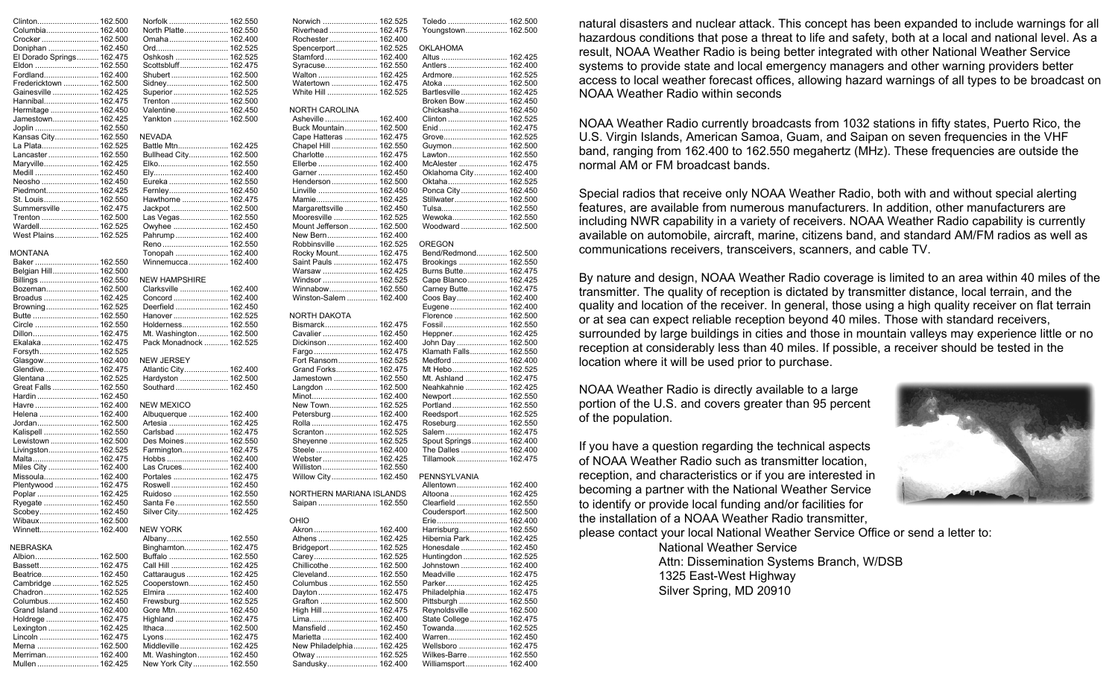|                                     | Norfolk  162.550                                | Norwich  162.525                   |  |
|-------------------------------------|-------------------------------------------------|------------------------------------|--|
| Columbia 162.400                    | North Platte 162.550                            | Riverhead  162.475                 |  |
| Crocker 162.500                     | Omaha 162.400                                   | Rochester 162.400                  |  |
| Doniphan  162.450                   |                                                 | Spencerport 162.525                |  |
|                                     |                                                 |                                    |  |
| El Dorado Springs 162.475           | Oshkosh  162.525                                | Stamford 162.400                   |  |
| Eldon  162.550                      | Scottsbluff 162.475                             | Syracuse 162.550                   |  |
| Fordland 162.400                    | Shubert 162.500                                 | Walton  162.425                    |  |
| Fredericktown  162.500              |                                                 | Watertown  162.475                 |  |
| Gainesville  162.425                | Superior  162.525                               | White Hill  162.525                |  |
|                                     |                                                 |                                    |  |
| Hannibal 162.475                    | Trenton  162.500                                |                                    |  |
| Hermitage  162.450                  | Valentine 162.450                               | NORTH CAROLINA                     |  |
| Jamestown 162.425                   | Yankton  162.500                                | Asheville  162.400                 |  |
| Joplin  162.550                     |                                                 | Buck Mountain 162.500              |  |
| Kansas City 162.550                 | NEVADA                                          | Cape Hatteras  162.475             |  |
|                                     |                                                 |                                    |  |
| La Plata 162.525                    | Battle Mtn 162.425                              | Chapel Hill  162.550               |  |
| Lancaster 162.550                   | Bullhead City 162.500                           | Charlotte  162.475                 |  |
| Maryville 162.425                   | Elko 162.550                                    | Ellerbe  162.400                   |  |
|                                     |                                                 | Garner  162.450                    |  |
| Neosho  162.450                     | Eureka  162.550                                 | Henderson 162.500                  |  |
|                                     |                                                 | Linville  162.450                  |  |
| Piedmont 162.425                    | Fernley 162.450                                 |                                    |  |
| St. Louis 162.550                   | Hawthorne  162.475                              | Mamie 162.425                      |  |
| Summersville  162.475               |                                                 | Margarettsville  162.450           |  |
| Trenton  162.500                    | Las Vegas 162.550                               | Mooresville  162.525               |  |
| Wardell 162.525                     | Owyhee  162.450                                 | Mount Jefferson 162.500            |  |
|                                     |                                                 |                                    |  |
| West Plains 162.525                 | Pahrump  162.400                                | New Bern 162.400                   |  |
|                                     | Reno 162.550                                    | Robbinsville  162.525              |  |
| <b>MONTANA</b>                      | Tonopah  162.400                                | Rocky Mount 162.475                |  |
| Baker 162.550                       | Winnemucca  162.400                             | Saint Pauls  162.475               |  |
| Belgian Hill 162.500                |                                                 | Warsaw  162.425                    |  |
|                                     |                                                 |                                    |  |
| Billings  162.550                   | <b>NEW HAMPSHIRE</b>                            | Windsor  162.525                   |  |
| Bozeman 162.500                     | Clarksville  162.400                            | Winnabow 162.550                   |  |
| Broadus  162.425                    | Concord 162.400                                 | Winston-Salem  162.400             |  |
| Browning 162.525                    | Deerfield  162.450                              |                                    |  |
|                                     | Hanover 162.525                                 | NORTH DAKOTA                       |  |
|                                     |                                                 |                                    |  |
| Circle  162.550                     | Holderness 162.550                              | Bismarck 162.475                   |  |
|                                     | Mt. Washington 162.500                          | Cavalier  162.450                  |  |
| Ekalaka 162.475                     | Pack Monadnock  162.525                         | Dickinson 162.400                  |  |
| Forsyth 162.525                     |                                                 | Fargo 162.475                      |  |
| Glasgow 162.400                     | <b>NEW JERSEY</b>                               | Fort Ransom 162.525                |  |
|                                     |                                                 |                                    |  |
|                                     | Atlantic City 162.400                           | Grand Forks 162.475                |  |
| Glendive 162.475                    |                                                 |                                    |  |
| Glentana  162.525                   | Hardyston  162.500                              | Jamestown  162.550                 |  |
|                                     |                                                 |                                    |  |
| Great Falls  162.550                | Southard 162.450                                | Langdon  162.500                   |  |
| Hardin  162.450                     |                                                 | Minot 162.400                      |  |
| Havre  162.400                      | <b>NEW MEXICO</b>                               | New Town 162.525                   |  |
| Helena  162.400                     | Albuquerque  162.400                            | Petersburg 162.400                 |  |
| Jordan 162.500                      | Artesia  162.425                                | Rolla  162.475                     |  |
|                                     |                                                 |                                    |  |
| Kalispell  162.550                  | Carlsbad  162.475                               | Scranton  162.525                  |  |
| Lewistown  162.500                  | Des Moines 162.550                              | Sheyenne  162.525                  |  |
| Livingston 162.525                  | Farmington 162.475                              | Steele  162.400                    |  |
| Malta 162.475                       |                                                 | Webster 162.425                    |  |
| Miles City  162.400                 | Las Cruces 162.400                              | Williston  162.550                 |  |
| Missoula 162.400                    | Portales  162.475                               | Willow City 162.450                |  |
|                                     |                                                 |                                    |  |
| Plentywood  162.475                 | Roswell 162.450                                 |                                    |  |
| Poplar  162.425                     | Ruidoso  162.550                                | NORTHERN MARIANA ISLANDS           |  |
| Ryegate  162.450                    | Santa Fe  162.550                               | Saipan  162.550                    |  |
|                                     | Silver City 162.425                             |                                    |  |
| Scobey 162.450                      |                                                 |                                    |  |
| Wibaux 162.500                      |                                                 | OHIO                               |  |
| Winnett 162.400                     | <b>NEW YORK</b>                                 |                                    |  |
|                                     | Albany 162.550                                  |                                    |  |
| NEBRASKA                            | Binghamton 162.475                              | Bridgeport 162.525                 |  |
|                                     |                                                 | Carey 162.525                      |  |
|                                     |                                                 |                                    |  |
| Bassett 162.475                     | Call Hill  162.425                              | Chillicothe 162.500                |  |
| Beatrice 162.450                    | Cattaraugus  162.425                            | Cleveland 162.550                  |  |
| Cambridge  162.525                  | Cooperstown 162.450                             | Columbus  162.550                  |  |
| Chadron 162.525                     | Elmira  162.400                                 | Dayton  162.475                    |  |
| Columbus 162.450                    | Frewsburg 162.525                               | Grafton  162.500                   |  |
|                                     |                                                 |                                    |  |
| Grand Island  162.400               | Gore Mtn 162.450                                | High Hill  162.475                 |  |
| Holdrege  162.475                   | Highland  162.475                               |                                    |  |
| Lexington  162.425                  |                                                 | Mansfield  162.450                 |  |
| Lincoln  162.475                    | Lyons 162.475                                   | Marietta  162.400                  |  |
| Merna  162.500                      | Middleville 162.425                             | New Philadelphia 162.425           |  |
|                                     |                                                 |                                    |  |
| Merriman 162.400<br>Mullen  162.425 | Mt. Washington 162.450<br>New York City 162.550 | Otway  162.525<br>Sandusky 162.400 |  |

| 102.525             |                        |
|---------------------|------------------------|
| 162.475             | Youngstown 162.500     |
| 162.400             |                        |
| 162.525             | OKLAHOMA               |
|                     |                        |
| 162.400             | Altus  162.425         |
| 162.550             | Antlers  162.400       |
| 162.425             | Ardmore 162.525        |
| 162.475             | Atoka  162.500         |
|                     |                        |
| 162.525             | Bartlesville  162.425  |
|                     | Broken Bow  162.450    |
| A                   | Chickasha 162.450      |
|                     |                        |
| 162.400             | Clinton  162.525       |
| 162.500             | Enid  162.475          |
| 162.475             | Grove 162.525          |
|                     |                        |
| 162.550             | Guymon 162.500         |
| 162.475             | Lawton 162.550         |
| 162.400             | McAlester  162.475     |
| 162.450             | Oklahoma City 162.400  |
|                     |                        |
| 162.500             | Oktaha 162.525         |
| 162.450             | Ponca City  162.450    |
| 162.425             | Stillwater 162.500     |
|                     |                        |
| 162.450             | Tulsa 162.550          |
| 162.525             | Wewoka 162.550         |
| 162.500             | Woodward  162.500      |
|                     |                        |
| 162.400             |                        |
| 162.525             | OREGON                 |
| 162.475             | Bend/Redmond 162.500   |
| 162.475             | Brookings  162.550     |
|                     |                        |
| 162.425             | Burns Butte 162.475    |
| 162.525             | Cape Blanco 162.425    |
| ………… 162.550        | Carney Butte 162.475   |
|                     |                        |
| 162.400             | Coos Bay 162.400       |
|                     | Eugene 162.400         |
|                     | Florence  162.500      |
| 162.475             | Fossil 162.550         |
|                     |                        |
| 162.450             | Heppner 162.425        |
| 162.400             | John Day  162.500      |
| 162.475             | Klamath Falls 162.550  |
| 162.525             | Medford  162.400       |
|                     |                        |
| 162.475             | Mt Hebo 162.525        |
| 162.550             | Mt. Ashland  162.475   |
| 162.500             | Neahkahnie  162.425    |
| 162.400             | Newport 162.550        |
|                     |                        |
| 162.525             | Portland  162.550      |
| 162.400             | Reedsport 162.525      |
| 162.475             | Roseburg 162.550       |
| 162.525             |                        |
|                     | Salem  162.475         |
| 162.525             | Spout Springs 162.400  |
| 162.400             | The Dalles  162.400    |
| 162.425             | Tillamook  162.475     |
|                     |                        |
| 162.550             |                        |
| 162.450             | PENNSYLVANIA           |
|                     | Allentown 162.400      |
| <b>IANA ISLANDS</b> | Altoona  162.425       |
|                     |                        |
| 162.550             | Clearfield  162.550    |
|                     | Coudersport 162.500    |
|                     | Erie………………………… 162.400 |
| ………… 162.400        | Harrisburg 162.550     |
|                     |                        |
| 162.425             | Hibernia Park 162.425  |
| 162.525             | Honesdale  162.450     |
| 162.525             | Huntingdon  162.525    |
| 162.500             | Johnstown  162.400     |
|                     |                        |
| 162.550             | Meadville  162.475     |
| 162.550             | Parker 162.425         |
| 162.475             | Philadelphia 162.475   |
|                     |                        |
| 162.500             | Pittsburgh  162.550    |
| 162.475             | Reynoldsville  162.500 |
| 162.400             | State College 162.475  |
| 162.450             | Towanda 162.525        |
|                     |                        |
| 162.400             | Warren 162.450         |
| 162.425             | Wellsboro  162.475     |
| 162.525             | Wilkes-Barre 162.550   |
| 162.400             | Williamsport 162.400   |
|                     |                        |

 $100E$ 

natural disasters and nuclear attack. This concept has been expanded to include warnings for all hazardous conditions that pose a threat to life and safety, both at a local and national level. As a result, NOAA Weather Radio is being better integrated with other National Weather Service systems to provide state and local emergency managers and other warning providers better access to local weather forecast offices, allowing hazard warnings of all types to be broadcast on NOAA Weather Radio within seconds

NOAA Weather Radio currently broadcasts from 1032 stations in fifty states, Puerto Rico, the U.S. Virgin Islands, American Samoa, Guam, and Saipan on seven frequencies in the VHF band, ranging from 162.400 to 162.550 megahertz (MHz). These frequencies are outside the normal AM or FM broadcast bands.

Special radios that receive only NOAA Weather Radio, both with and without special alerting features, are available from numerous manufacturers. In addition, other manufacturers are including NWR capability in a variety of receivers. NOAA Weather Radio capability is currently available on automobile, aircraft, marine, citizens band, and standard AM/FM radios as well as communications receivers, transceivers, scanners, and cable TV.

By nature and design, NOAA Weather Radio coverage is limited to an area within 40 miles of the transmitter. The quality of reception is dictated by transmitter distance, local terrain, and the quality and location of the receiver. In general, those using a high quality receiver on flat terrain or at sea can expect reliable reception beyond 40 miles. Those with standard receivers, surrounded by large buildings in cities and those in mountain valleys may experience little or no reception at considerably less than 40 miles. If possible, a receiver should be tested in the location where it will be used prior to purchase.

NOAA Weather Radio is directly available to a large portion of the U.S. and covers greater than 95 percent of the population.

If you have a question regarding the technical aspects of NOAA Weather Radio such as transmitter location, reception, and characteristics or if you are interested in becoming a partner with the National Weather Service to identify or provide local funding and/or facilities for the installation of a NOAA Weather Radio transmitter,

please contact your local National Weather Service Office or send a letter to:

National Weather Service Attn: Dissemination Systems Branch, W/DSB 1325 East-West Highway Silver Spring, MD 20910